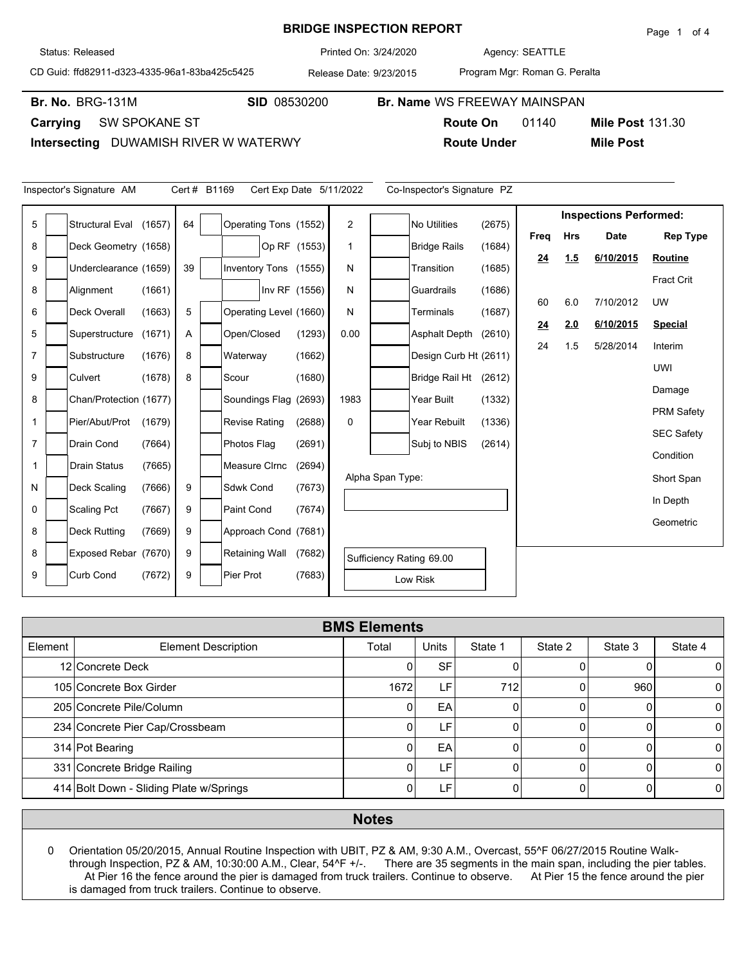## **BRIDGE INSPECTION REPORT**

Agency: 3/24/2020 SEATTLE

CD Guid: ffd82911-d323-4335-96a1-83ba425c5425

Release Date: 9/23/2015 Printed On:

Program Mgr: Roman G. Peralta

**Br. No. BRG-131M** 

Status: Released

**Carrying** SW SPOKANE ST

**Intersecting** DUWAMISH RIVER W WATERWY

| Inspector's Signature AM<br>Cert # B1169<br>Cert Exp Date 5/11/2022<br>Co-Inspector's Signature PZ                      |  |                        |        |    |  |                        |               |             |                               |                          |        |      |            |             |                   |
|-------------------------------------------------------------------------------------------------------------------------|--|------------------------|--------|----|--|------------------------|---------------|-------------|-------------------------------|--------------------------|--------|------|------------|-------------|-------------------|
| 5<br>$\overline{2}$<br><b>No Utilities</b><br><b>Structural Eval</b><br>64<br>Operating Tons (1552)<br>(2675)<br>(1657) |  |                        |        |    |  |                        |               |             | <b>Inspections Performed:</b> |                          |        |      |            |             |                   |
| 8                                                                                                                       |  | Deck Geometry (1658)   |        |    |  |                        | Op RF (1553)  | $\mathbf 1$ |                               | <b>Bridge Rails</b>      | (1684) | Freq | <b>Hrs</b> | <b>Date</b> | <b>Rep Type</b>   |
|                                                                                                                         |  |                        |        |    |  |                        |               |             |                               |                          |        | 24   | 1.5        | 6/10/2015   | Routine           |
| 9                                                                                                                       |  | Underclearance (1659)  |        | 39 |  | Inventory Tons (1555)  |               | N           |                               | Transition               | (1685) |      |            |             | <b>Fract Crit</b> |
| 8                                                                                                                       |  | Alignment              | (1661) |    |  |                        | Inv RF (1556) | N           |                               | Guardrails               | (1686) | 60   | 6.0        | 7/10/2012   | <b>UW</b>         |
| 6                                                                                                                       |  | Deck Overall           | (1663) | 5  |  | Operating Level (1660) |               | N           |                               | Terminals                | (1687) | 24   | 2.0        | 6/10/2015   | <b>Special</b>    |
| 5                                                                                                                       |  | Superstructure         | (1671) | A  |  | Open/Closed            | (1293)        | 0.00        |                               | <b>Asphalt Depth</b>     | (2610) | 24   | 1.5        | 5/28/2014   | Interim           |
| $\overline{7}$                                                                                                          |  | Substructure           | (1676) | 8  |  | Waterway               | (1662)        |             |                               | Design Curb Ht (2611)    |        |      |            |             |                   |
| 9                                                                                                                       |  | Culvert                | (1678) | 8  |  | Scour                  | (1680)        |             |                               | <b>Bridge Rail Ht</b>    | (2612) |      |            |             | UWI               |
| 8                                                                                                                       |  | Chan/Protection (1677) |        |    |  | Soundings Flag (2693)  |               | 1983        |                               | Year Built               | (1332) |      |            |             | Damage            |
| $\mathbf{1}$                                                                                                            |  | Pier/Abut/Prot         | (1679) |    |  | <b>Revise Rating</b>   | (2688)        | 0           |                               | Year Rebuilt             | (1336) |      |            |             | <b>PRM Safety</b> |
| $\overline{7}$                                                                                                          |  | Drain Cond             | (7664) |    |  | Photos Flag            | (2691)        |             |                               | Subj to NBIS             | (2614) |      |            |             | <b>SEC Safety</b> |
| 1                                                                                                                       |  | <b>Drain Status</b>    | (7665) |    |  | <b>Measure Cirnc</b>   | (2694)        |             |                               |                          |        |      |            |             | Condition         |
|                                                                                                                         |  |                        |        |    |  |                        |               |             | Alpha Span Type:              |                          |        |      |            |             | Short Span        |
| N                                                                                                                       |  | Deck Scaling           | (7666) | 9  |  | <b>Sdwk Cond</b>       | (7673)        |             |                               |                          |        |      |            |             | In Depth          |
| 0                                                                                                                       |  | <b>Scaling Pct</b>     | (7667) | 9  |  | <b>Paint Cond</b>      | (7674)        |             |                               |                          |        |      |            |             | Geometric         |
| 8                                                                                                                       |  | <b>Deck Rutting</b>    | (7669) | 9  |  | Approach Cond (7681)   |               |             |                               |                          |        |      |            |             |                   |
| 8                                                                                                                       |  | Exposed Rebar (7670)   |        | 9  |  | <b>Retaining Wall</b>  | (7682)        |             |                               | Sufficiency Rating 69.00 |        |      |            |             |                   |
| 9                                                                                                                       |  | <b>Curb Cond</b>       | (7672) | 9  |  | Pier Prot              | (7683)        |             |                               | Low Risk                 |        |      |            |             |                   |

|         | <b>BMS Elements</b>                     |       |              |         |          |         |         |  |  |  |  |  |  |
|---------|-----------------------------------------|-------|--------------|---------|----------|---------|---------|--|--|--|--|--|--|
| Element | <b>Element Description</b>              | Total | <b>Units</b> | State 1 | State 2  | State 3 | State 4 |  |  |  |  |  |  |
|         | 12 Concrete Deck                        |       | <b>SF</b>    |         |          |         | 0       |  |  |  |  |  |  |
|         | 105 Concrete Box Girder                 | 1672  | LF'          | 712     | 0        | 960     | 0       |  |  |  |  |  |  |
|         | 205 Concrete Pile/Column                |       | EA           |         | 0        |         | 0       |  |  |  |  |  |  |
|         | 234 Concrete Pier Cap/Crossbeam         |       | E            |         | $\Omega$ |         | 0       |  |  |  |  |  |  |
|         | 314 Pot Bearing                         |       | EA           |         |          |         | 0       |  |  |  |  |  |  |
|         | 331 Concrete Bridge Railing             |       | LF'          |         |          |         | U       |  |  |  |  |  |  |
|         | 414 Bolt Down - Sliding Plate w/Springs |       | LF'          |         |          |         |         |  |  |  |  |  |  |

## **Notes**

0 Orientation 05/20/2015, Annual Routine Inspection with UBIT, PZ & AM, 9:30 A.M., Overcast, 55^F 06/27/2015 Routine Walkthrough Inspection, PZ & AM, 10:30:00 A.M., Clear, 54^F +/-. There are 35 segments in the main span, including the pier tables. At Pier 16 the fence around the pier is damaged from truck trailers. Continue to observe. At Pier 15 the fence around the pier is damaged from truck trailers. Continue to observe.

**Mile Post 131.30** 

**Br. No. SID** 08530200 **Br. Name** WS FREEWAY MAINSPAN

**Route On** 01140 **Route Under Mile Post**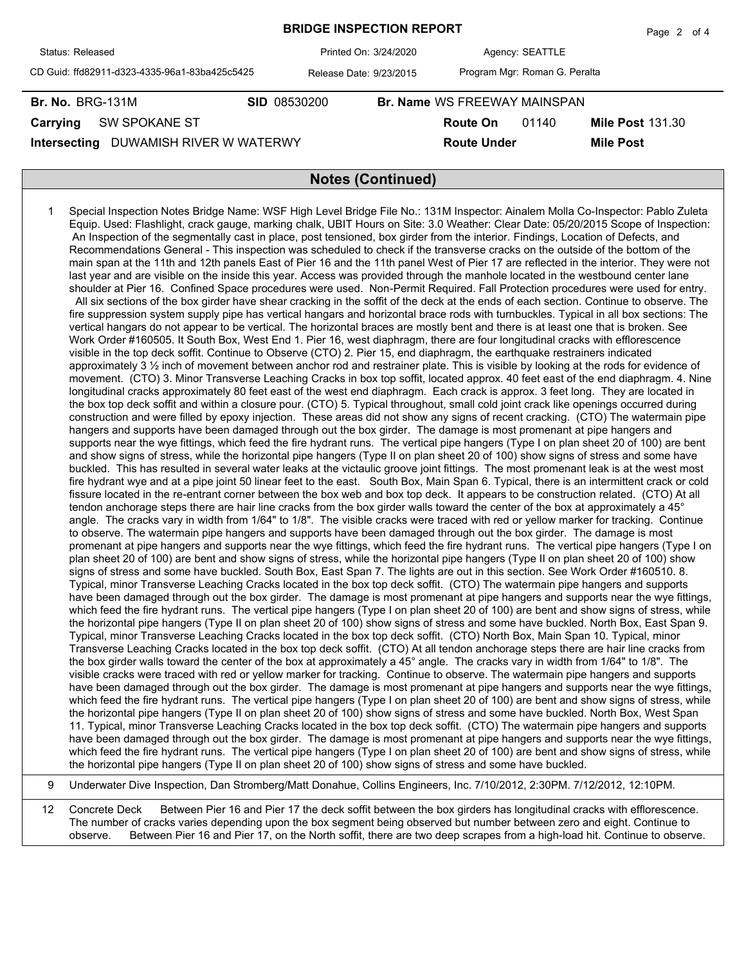|                                               |                         |                                     |                    |                               | $1$ uyu $2$ ultr        |  |  |  |
|-----------------------------------------------|-------------------------|-------------------------------------|--------------------|-------------------------------|-------------------------|--|--|--|
| Status: Released                              | Printed On: 3/24/2020   |                                     |                    | Agency: SEATTLE               |                         |  |  |  |
| CD Guid: ffd82911-d323-4335-96a1-83ba425c5425 | Release Date: 9/23/2015 |                                     |                    | Program Mgr: Roman G. Peralta |                         |  |  |  |
| <b>Br. No. BRG-131M</b>                       | <b>SID 08530200</b>     | <b>Br. Name WS FREEWAY MAINSPAN</b> |                    |                               |                         |  |  |  |
| <b>SW SPOKANE ST</b><br>Carrying              |                         |                                     | <b>Route On</b>    | 01140                         | <b>Mile Post 131.30</b> |  |  |  |
| DUWAMISH RIVER W WATERWY<br>Intersecting      |                         |                                     | <b>Route Under</b> |                               | <b>Mile Post</b>        |  |  |  |
|                                               |                         |                                     |                    |                               |                         |  |  |  |
| <b>Notes (Continued)</b>                      |                         |                                     |                    |                               |                         |  |  |  |

**BRIDGE INSPECTION REPORT**

Page 2 of 4

1 Special Inspection Notes Bridge Name: WSF High Level Bridge File No.: 131M Inspector: Ainalem Molla Co-Inspector: Pablo Zuleta Equip. Used: Flashlight, crack gauge, marking chalk, UBIT Hours on Site: 3.0 Weather: Clear Date: 05/20/2015 Scope of Inspection: An Inspection of the segmentally cast in place, post tensioned, box girder from the interior. Findings, Location of Defects, and Recommendations General - This inspection was scheduled to check if the transverse cracks on the outside of the bottom of the main span at the 11th and 12th panels East of Pier 16 and the 11th panel West of Pier 17 are reflected in the interior. They were not last year and are visible on the inside this year. Access was provided through the manhole located in the westbound center lane shoulder at Pier 16. Confined Space procedures were used. Non-Permit Required. Fall Protection procedures were used for entry. All six sections of the box girder have shear cracking in the soffit of the deck at the ends of each section. Continue to observe. The fire suppression system supply pipe has vertical hangars and horizontal brace rods with turnbuckles. Typical in all box sections: The vertical hangars do not appear to be vertical. The horizontal braces are mostly bent and there is at least one that is broken. See Work Order #160505. It South Box, West End 1. Pier 16, west diaphragm, there are four longitudinal cracks with efflorescence visible in the top deck soffit. Continue to Observe (CTO) 2. Pier 15, end diaphragm, the earthquake restrainers indicated approximately 3 ½ inch of movement between anchor rod and restrainer plate. This is visible by looking at the rods for evidence of movement. (CTO) 3. Minor Transverse Leaching Cracks in box top soffit, located approx. 40 feet east of the end diaphragm. 4. Nine longitudinal cracks approximately 80 feet east of the west end diaphragm. Each crack is approx. 3 feet long. They are located in the box top deck soffit and within a closure pour. (CTO) 5. Typical throughout, small cold joint crack like openings occurred during construction and were filled by epoxy injection. These areas did not show any signs of recent cracking. (CTO) The watermain pipe hangers and supports have been damaged through out the box girder. The damage is most promenant at pipe hangers and supports near the wye fittings, which feed the fire hydrant runs. The vertical pipe hangers (Type I on plan sheet 20 of 100) are bent and show signs of stress, while the horizontal pipe hangers (Type II on plan sheet 20 of 100) show signs of stress and some have buckled. This has resulted in several water leaks at the victaulic groove joint fittings. The most promenant leak is at the west most fire hydrant wye and at a pipe joint 50 linear feet to the east. South Box, Main Span 6. Typical, there is an intermittent crack or cold fissure located in the re-entrant corner between the box web and box top deck. It appears to be construction related. (CTO) At all tendon anchorage steps there are hair line cracks from the box girder walls toward the center of the box at approximately a 45° angle. The cracks vary in width from 1/64" to 1/8". The visible cracks were traced with red or yellow marker for tracking. Continue to observe. The watermain pipe hangers and supports have been damaged through out the box girder. The damage is most promenant at pipe hangers and supports near the wye fittings, which feed the fire hydrant runs. The vertical pipe hangers (Type I on plan sheet 20 of 100) are bent and show signs of stress, while the horizontal pipe hangers (Type II on plan sheet 20 of 100) show signs of stress and some have buckled. South Box, East Span 7. The lights are out in this section. See Work Order #160510. 8. Typical, minor Transverse Leaching Cracks located in the box top deck soffit. (CTO) The watermain pipe hangers and supports have been damaged through out the box girder. The damage is most promenant at pipe hangers and supports near the wye fittings, which feed the fire hydrant runs. The vertical pipe hangers (Type I on plan sheet 20 of 100) are bent and show signs of stress, while the horizontal pipe hangers (Type II on plan sheet 20 of 100) show signs of stress and some have buckled. North Box, East Span 9. Typical, minor Transverse Leaching Cracks located in the box top deck soffit. (CTO) North Box, Main Span 10. Typical, minor Transverse Leaching Cracks located in the box top deck soffit. (CTO) At all tendon anchorage steps there are hair line cracks from the box girder walls toward the center of the box at approximately a 45° angle. The cracks vary in width from 1/64" to 1/8". The visible cracks were traced with red or yellow marker for tracking. Continue to observe. The watermain pipe hangers and supports have been damaged through out the box girder. The damage is most promenant at pipe hangers and supports near the wye fittings, which feed the fire hydrant runs. The vertical pipe hangers (Type I on plan sheet 20 of 100) are bent and show signs of stress, while the horizontal pipe hangers (Type II on plan sheet 20 of 100) show signs of stress and some have buckled. North Box, West Span 11. Typical, minor Transverse Leaching Cracks located in the box top deck soffit. (CTO) The watermain pipe hangers and supports have been damaged through out the box girder. The damage is most promenant at pipe hangers and supports near the wye fittings, which feed the fire hydrant runs. The vertical pipe hangers (Type I on plan sheet 20 of 100) are bent and show signs of stress, while the horizontal pipe hangers (Type II on plan sheet 20 of 100) show signs of stress and some have buckled.

9 Underwater Dive Inspection, Dan Stromberg/Matt Donahue, Collins Engineers, Inc. 7/10/2012, 2:30PM. 7/12/2012, 12:10PM.

12 Concrete Deck Between Pier 16 and Pier 17 the deck soffit between the box girders has longitudinal cracks with efflorescence. The number of cracks varies depending upon the box segment being observed but number between zero and eight. Continue to observe. Between Pier 16 and Pier 17, on the North soffit, there are two deep scrapes from a high-load hit. Continue to observe.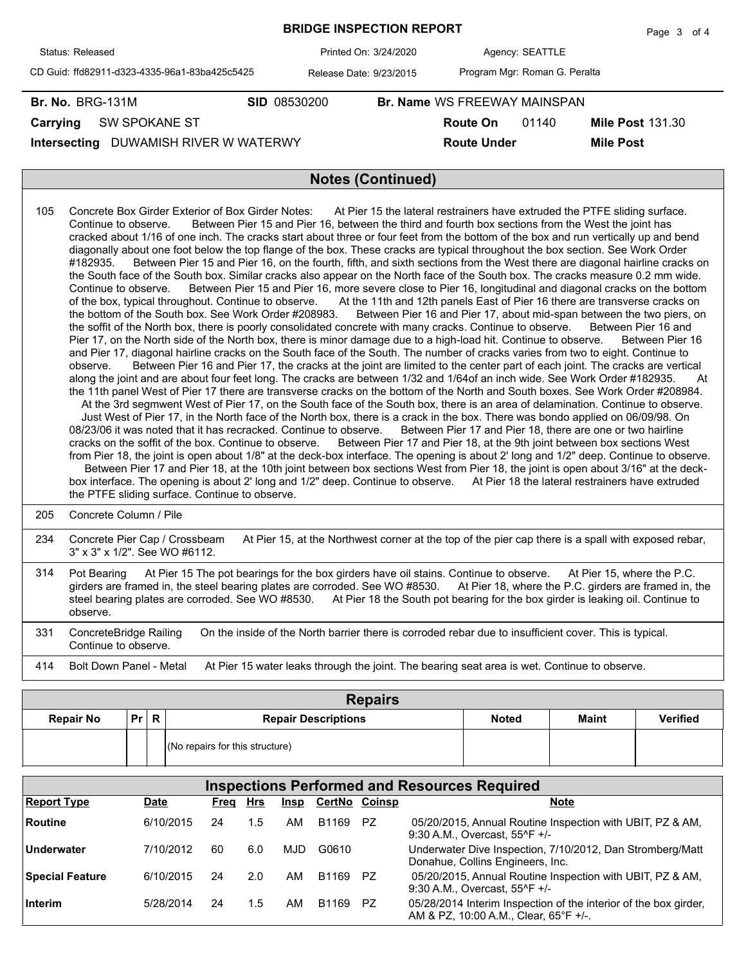|                                               | Page 3 of 4             |  |                                     |                               |                         |  |  |  |  |
|-----------------------------------------------|-------------------------|--|-------------------------------------|-------------------------------|-------------------------|--|--|--|--|
| Status: Released                              | Printed On: 3/24/2020   |  |                                     | Agency: SEATTLE               |                         |  |  |  |  |
| CD Guid: ffd82911-d323-4335-96a1-83ba425c5425 | Release Date: 9/23/2015 |  |                                     | Program Mgr: Roman G. Peralta |                         |  |  |  |  |
| <b>Br. No. BRG-131M</b>                       | <b>SID 08530200</b>     |  | <b>Br. Name WS FREEWAY MAINSPAN</b> |                               |                         |  |  |  |  |
| SW SPOKANE ST<br>Carrying                     |                         |  | Route On                            | 01140                         | <b>Mile Post 131.30</b> |  |  |  |  |
| DUWAMISH RIVER W WATERWY<br>Intersecting      |                         |  | <b>Route Under</b>                  | <b>Mile Post</b>              |                         |  |  |  |  |
|                                               |                         |  |                                     |                               |                         |  |  |  |  |
| <b>Notes (Continued)</b>                      |                         |  |                                     |                               |                         |  |  |  |  |

| 105 | Concrete Box Girder Exterior of Box Girder Notes: At Pier 15 the lateral restrainers have extruded the PTFE sliding surface.<br>Between Pier 15 and Pier 16, between the third and fourth box sections from the West the joint has<br>Continue to observe.<br>cracked about 1/16 of one inch. The cracks start about three or four feet from the bottom of the box and run vertically up and bend<br>diagonally about one foot below the top flange of the box. These cracks are typical throughout the box section. See Work Order<br>Between Pier 15 and Pier 16, on the fourth, fifth, and sixth sections from the West there are diagonal hairline cracks on<br>#182935.<br>the South face of the South box. Similar cracks also appear on the North face of the South box. The cracks measure 0.2 mm wide.<br>Between Pier 15 and Pier 16, more severe close to Pier 16, longitudinal and diagonal cracks on the bottom<br>Continue to observe.<br>of the box, typical throughout. Continue to observe. At the 11th and 12th panels East of Pier 16 there are transverse cracks on<br>the bottom of the South box. See Work Order #208983.<br>Between Pier 16 and Pier 17, about mid-span between the two piers, on<br>the soffit of the North box, there is poorly consolidated concrete with many cracks. Continue to observe.<br>Between Pier 16 and<br>Pier 17, on the North side of the North box, there is minor damage due to a high-load hit. Continue to observe. Between Pier 16<br>and Pier 17, diagonal hairline cracks on the South face of the South. The number of cracks varies from two to eight. Continue to<br>Between Pier 16 and Pier 17, the cracks at the joint are limited to the center part of each joint. The cracks are vertical<br>observe.<br>along the joint and are about four feet long. The cracks are between 1/32 and 1/64of an inch wide. See Work Order #182935.<br>At<br>the 11th panel West of Pier 17 there are transverse cracks on the bottom of the North and South boxes. See Work Order #208984.<br>At the 3rd segmwent West of Pier 17, on the South face of the South box, there is an area of delamination. Continue to observe.<br>Just West of Pier 17, in the North face of the North box, there is a crack in the box. There was bondo applied on 06/09/98. On<br>08/23/06 it was noted that it has recracked. Continue to observe. Between Pier 17 and Pier 18, there are one or two hairline<br>Between Pier 17 and Pier 18, at the 9th joint between box sections West<br>cracks on the soffit of the box. Continue to observe.<br>from Pier 18, the joint is open about 1/8" at the deck-box interface. The opening is about 2' long and 1/2" deep. Continue to observe.<br>Between Pier 17 and Pier 18, at the 10th joint between box sections West from Pier 18, the joint is open about 3/16" at the deck-<br>box interface. The opening is about 2' long and 1/2" deep. Continue to observe.<br>At Pier 18 the lateral restrainers have extruded<br>the PTFE sliding surface. Continue to observe. |
|-----|----------------------------------------------------------------------------------------------------------------------------------------------------------------------------------------------------------------------------------------------------------------------------------------------------------------------------------------------------------------------------------------------------------------------------------------------------------------------------------------------------------------------------------------------------------------------------------------------------------------------------------------------------------------------------------------------------------------------------------------------------------------------------------------------------------------------------------------------------------------------------------------------------------------------------------------------------------------------------------------------------------------------------------------------------------------------------------------------------------------------------------------------------------------------------------------------------------------------------------------------------------------------------------------------------------------------------------------------------------------------------------------------------------------------------------------------------------------------------------------------------------------------------------------------------------------------------------------------------------------------------------------------------------------------------------------------------------------------------------------------------------------------------------------------------------------------------------------------------------------------------------------------------------------------------------------------------------------------------------------------------------------------------------------------------------------------------------------------------------------------------------------------------------------------------------------------------------------------------------------------------------------------------------------------------------------------------------------------------------------------------------------------------------------------------------------------------------------------------------------------------------------------------------------------------------------------------------------------------------------------------------------------------------------------------------------------------------------------------------------------------------------------------------------------------------------------------------------------------------------------------------------------------------------------------------------------------------------------------------------------------------------------------------------------------------------------|
| 205 | Concrete Column / Pile                                                                                                                                                                                                                                                                                                                                                                                                                                                                                                                                                                                                                                                                                                                                                                                                                                                                                                                                                                                                                                                                                                                                                                                                                                                                                                                                                                                                                                                                                                                                                                                                                                                                                                                                                                                                                                                                                                                                                                                                                                                                                                                                                                                                                                                                                                                                                                                                                                                                                                                                                                                                                                                                                                                                                                                                                                                                                                                                                                                                                                               |
| 234 | Concrete Pier Cap / Crossbeam<br>At Pier 15, at the Northwest corner at the top of the pier cap there is a spall with exposed rebar,<br>3" x 3" x 1/2". See WO #6112.                                                                                                                                                                                                                                                                                                                                                                                                                                                                                                                                                                                                                                                                                                                                                                                                                                                                                                                                                                                                                                                                                                                                                                                                                                                                                                                                                                                                                                                                                                                                                                                                                                                                                                                                                                                                                                                                                                                                                                                                                                                                                                                                                                                                                                                                                                                                                                                                                                                                                                                                                                                                                                                                                                                                                                                                                                                                                                |
| 314 | At Pier 15 The pot bearings for the box girders have oil stains. Continue to observe. At Pier 15, where the P.C.<br>Pot Bearing<br>girders are framed in, the steel bearing plates are corroded. See WO #8530. At Pier 18, where the P.C. girders are framed in, the<br>steel bearing plates are corroded. See WO #8530. At Pier 18 the South pot bearing for the box girder is leaking oil. Continue to<br>observe.                                                                                                                                                                                                                                                                                                                                                                                                                                                                                                                                                                                                                                                                                                                                                                                                                                                                                                                                                                                                                                                                                                                                                                                                                                                                                                                                                                                                                                                                                                                                                                                                                                                                                                                                                                                                                                                                                                                                                                                                                                                                                                                                                                                                                                                                                                                                                                                                                                                                                                                                                                                                                                                 |

331 ConcreteBridge Railing On the inside of the North barrier there is corroded rebar due to insufficient cover. This is typical. Continue to observe. 414 Bolt Down Panel - Metal At Pier 15 water leaks through the joint. The bearing seat area is wet. Continue to observe.

| <b>Repairs</b>   |      |  |                                 |              |              |                 |  |  |  |  |  |  |  |
|------------------|------|--|---------------------------------|--------------|--------------|-----------------|--|--|--|--|--|--|--|
| <b>Repair No</b> | Pr R |  | <b>Repair Descriptions</b>      | <b>Noted</b> | <b>Maint</b> | <b>Verified</b> |  |  |  |  |  |  |  |
|                  |      |  | (No repairs for this structure) |              |              |                 |  |  |  |  |  |  |  |

| <b>Inspections Performed and Resources Required</b> |             |      |     |      |                      |           |                                                                                                           |  |  |  |  |  |
|-----------------------------------------------------|-------------|------|-----|------|----------------------|-----------|-----------------------------------------------------------------------------------------------------------|--|--|--|--|--|
| <b>Report Type</b>                                  | <b>Date</b> | Freq | Hrs | Insp | <b>CertNo Coinsp</b> |           | <b>Note</b>                                                                                               |  |  |  |  |  |
| Routine                                             | 6/10/2015   | 24   | 1.5 | AM   | B1169                | PZ.       | 05/20/2015, Annual Routine Inspection with UBIT, PZ & AM,<br>9:30 A.M., Overcast, 55^F +/-                |  |  |  |  |  |
| Underwater                                          | 7/10/2012   | 60   | 6.0 | MJD  | G0610                |           | Underwater Dive Inspection, 7/10/2012, Dan Stromberg/Matt<br>Donahue, Collins Engineers, Inc.             |  |  |  |  |  |
| <b>Special Feature</b>                              | 6/10/2015   | 24   | 2.0 | AM   | B1169                | P7        | 05/20/2015, Annual Routine Inspection with UBIT, PZ & AM,<br>9:30 A.M., Overcast, 55^F +/-                |  |  |  |  |  |
| Interim                                             | 5/28/2014   | 24   | 1.5 | AM   | B1169                | <b>PZ</b> | 05/28/2014 Interim Inspection of the interior of the box girder,<br>AM & PZ, 10:00 A.M., Clear, 65°F +/-. |  |  |  |  |  |